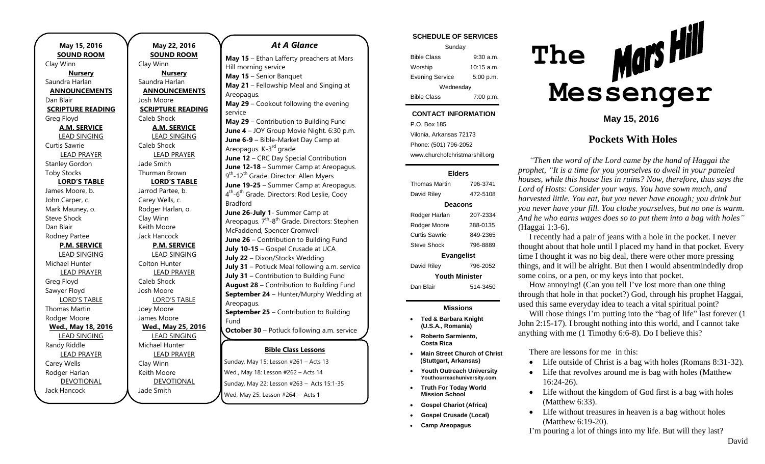**May 15, 2016 SOUND ROOM** Clay Winn **Nursery** Saundra Harlan **ANNOUNCEMENTS** Dan Blair **SCRIPTURE READING** Greg Floyd **A.M. SERVICE** LEAD SINGING Curtis Sawrie LEAD PRAYER Stanley Gordon Toby Stocks **LORD'S TABLE** James Moore, b. John Carper, c. Mark Mauney, o. Steve Shock Dan Blair Rodney Partee **P.M. SERVICE** LEAD SINGING Michael Hunter LEAD PRAYER Greg Floyd Sawyer Floyd LORD'S TABLE Thomas Martin Rodger Moore **Wed., May 18, 2016** LEAD SINGING Randy Riddle LEAD PRAYER Carey Wells Rodger Harlan DEVOTIONAL Jack Hancock

**May 22, 2016 SOUND ROOM** Clay Winn **Nursery** Saundra Harlan **ANNOUNCEMENTS** Josh Moore **SCRIPTURE READING** Caleb Shock **A.M. SERVICE** LEAD SINGING Caleb Shock LEAD PRAYER Jade Smith Thurman Brown **LORD'S TABLE** Jarrod Partee, b. Carey Wells, c. Rodger Harlan, o. Clay Winn Keith Moore Jack Hancock **P.M. SERVICE** LEAD SINGING Colton Hunter LEAD PRAYER Caleb Shock Josh Moore LORD'S TABLE Joey Moore James Moore **Wed., May 25, 2016** LEAD SINGING Michael Hunter LEAD PRAYER Clay Winn Keith Moore DEVOTIONAL Jade Smith

#### *At A Glance*

**Bible Class Lessons** Sunday, May 15: Lesson #261 – Acts 13 Fund **Demacy, May 19: Lesson ALG.**<br>Wed., May 18: Lesson #262 – Acts 14 Sunday, May 22: Lesson #263 – Acts 15:1-35 **May 15** – Ethan Lafferty preachers at Mars Hill morning service **May 15** – Senior Banquet **May 21** – Fellowship Meal and Singing at Areopagus. **May 29** – Cookout following the evening service **May 29** – Contribution to Building Fund **June 4** – JOY Group Movie Night. 6:30 p.m. **June 6-9** – Bible-Market Day Camp at Areopagus. K-3<sup>rd</sup> grade **June 12** – CRC Day Special Contribution **June 12-18** – Summer Camp at Areopagus. 9<sup>th</sup>-12<sup>th</sup> Grade. Director: Allen Myers **June 19-25** – Summer Camp at Areopagus. 4<sup>th</sup>-6<sup>th</sup> Grade. Directors: Rod Leslie, Cody Bradford **June 26-July 1**- Summer Camp at Areopagus. 7<sup>th</sup>-8<sup>th</sup> Grade. Directors: Stephen McFaddend, Spencer Cromwell **June 26** – Contribution to Building Fund July 10-15 - Gospel Crusade at UCA **July 22** – Dixon/Stocks Wedding **July 31** – Potluck Meal following a.m. service **July 31** – Contribution to Building Fund **August 28** – Contribution to Building Fund **September 24** – Hunter/Murphy Wedding at Areopagus. **September 25** – Contribution to Building Fund **October 30** – Potluck following a.m. service **October 30** – Contribution to Building Fund

Wed, May 25: Lesson #264 – Acts 1

#### Sunday Bible Class 9:30 a.m. Worship 10:15 a.m. Evening Service 5:00 p.m. Wednesday Bible Class 7:00 p.m. **CONTACT INFORMATION** P.O. Box 185 Vilonia, Arkansas 72173 Phone: (501) 796-2052 www.churchofchristmarshill.org **Elders** Thomas Martin 796-3741 David Riley 472-5108 **Deacons** Rodger Harlan 207-2334

#### Rodger Moore 288-0135 Curtis Sawrie 849-2365 Steve Shock 796-8889 **Evangelist** David Riley 796-2052 **Youth Minister** Dan Blair 514-3450

- **Ted & Barbara Knight (U.S.A., Romania)**
- **Roberto Sarmiento, Costa Rica**
- **Main Street Church of Christ (Stuttgart, Arkansas)**
- **Youth Outreach University Youthourreachuniversity.com**
- 

**Camp Areopagus**

- **Missions**
- 
- 
- 
- 
- **Truth For Today World Mission School**

**Gospel Crusade (Local)**

**Gospel Chariot (Africa)**

# **SCHEDULE OF SERVICES**

| The | - Mars Hill |
|-----|-------------|
|     | Messenger   |

**May 15, 2016**

# **Pockets With Holes**

*"Then the word of the Lord came by the hand of Haggai the prophet, "It is a time for you yourselves to dwell in your paneled houses, while this house lies in ruins? Now, therefore, thus says the Lord of Hosts: Consider your ways. You have sown much, and harvested little. You eat, but you never have enough; you drink but you never have your fill. You clothe yourselves, but no one is warm. And he who earns wages does so to put them into a bag with holes"* (Haggai 1:3-6).

I recently had a pair of jeans with a hole in the pocket. I never thought about that hole until I placed my hand in that pocket. Every time I thought it was no big deal, there were other more pressing things, and it will be alright. But then I would absentmindedly drop some coins, or a pen, or my keys into that pocket.

How annoying! (Can you tell I've lost more than one thing through that hole in that pocket?) God, through his prophet Haggai, used this same everyday idea to teach a vital spiritual point?

Will those things I'm putting into the "bag of life" last forever  $(1)$ John 2:15-17). I brought nothing into this world, and I cannot take anything with me (1 Timothy 6:6-8). Do I believe this?

There are lessons for me in this:

- Life outside of Christ is a bag with holes (Romans 8:31-32).
- Life that revolves around me is bag with holes (Matthew 16:24-26).
- Life without the kingdom of God first is a bag with holes (Matthew 6:33).
- Life without treasures in heaven is a bag without holes (Matthew 6:19-20).

I'm pouring a lot of things into my life. But will they last?